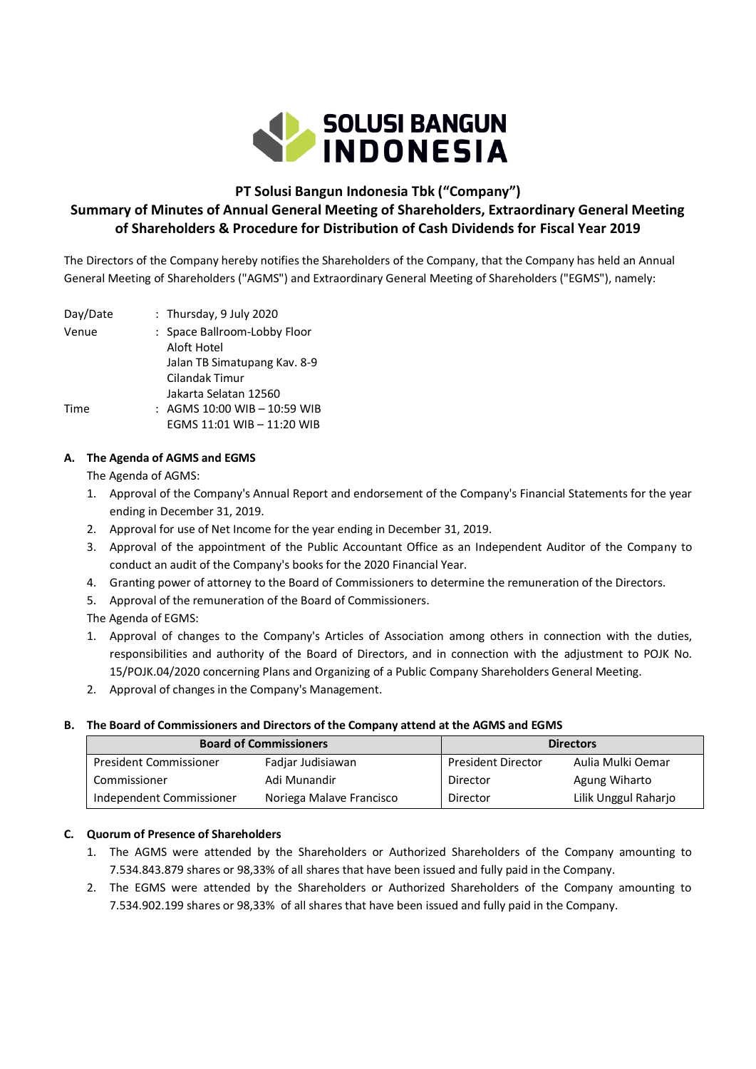

# **PT Solusi Bangun Indonesia Tbk ("Company")**

# **Summary of Minutes of Annual General Meeting of Shareholders, Extraordinary General Meeting of Shareholders & Procedure for Distribution of Cash Dividends for Fiscal Year 2019**

The Directors of the Company hereby notifies the Shareholders of the Company, that the Company has held an Annual General Meeting of Shareholders ("AGMS") and Extraordinary General Meeting of Shareholders ("EGMS"), namely:

| Day/Date | : Thursday, 9 July 2020                     |
|----------|---------------------------------------------|
| Venue    | : Space Ballroom-Lobby Floor<br>Aloft Hotel |
|          | Jalan TB Simatupang Kav. 8-9                |
|          | Cilandak Timur                              |
|          | Jakarta Selatan 12560                       |
| Time     | : AGMS 10:00 WIB - 10:59 WIB                |
|          | EGMS 11:01 WIB - 11:20 WIB                  |
|          |                                             |

## **A. The Agenda of AGMS and EGMS**

The Agenda of AGMS:

- 1. Approval of the Company's Annual Report and endorsement of the Company's Financial Statements for the year ending in December 31, 2019.
- 2. Approval for use of Net Income for the year ending in December 31, 2019.
- 3. Approval of the appointment of the Public Accountant Office as an Independent Auditor of the Company to conduct an audit of the Company's books for the 2020 Financial Year.
- 4. Granting power of attorney to the Board of Commissioners to determine the remuneration of the Directors.
- 5. Approval of the remuneration of the Board of Commissioners.

The Agenda of EGMS:

- 1. Approval of changes to the Company's Articles of Association among others in connection with the duties, responsibilities and authority of the Board of Directors, and in connection with the adjustment to POJK No. 15/POJK.04/2020 concerning Plans and Organizing of a Public Company Shareholders General Meeting.
- 2. Approval of changes in the Company's Management.

### **B. The Board of Commissioners and Directors of the Company attend at the AGMS and EGMS**

| <b>Board of Commissioners</b> |                          | <b>Directors</b>          |                      |
|-------------------------------|--------------------------|---------------------------|----------------------|
| <b>President Commissioner</b> | Fadjar Judisiawan        | <b>President Director</b> | Aulia Mulki Oemar    |
| Commissioner                  | Adi Munandir             | Director                  | Agung Wiharto        |
| Independent Commissioner      | Noriega Malave Francisco | Director                  | Lilik Unggul Raharjo |

### **C. Quorum of Presence of Shareholders**

- 1. The AGMS were attended by the Shareholders or Authorized Shareholders of the Company amounting to 7.534.843.879 shares or 98,33% of all shares that have been issued and fully paid in the Company.
- 2. The EGMS were attended by the Shareholders or Authorized Shareholders of the Company amounting to 7.534.902.199 shares or 98,33% of all shares that have been issued and fully paid in the Company.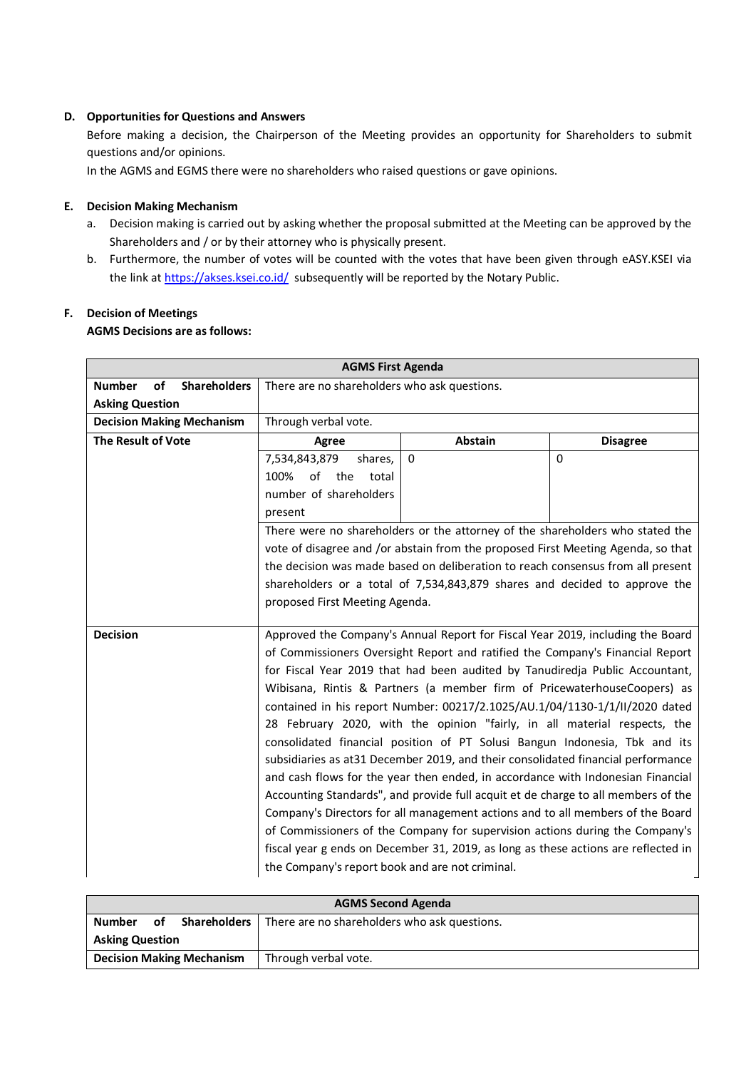### **D. Opportunities for Questions and Answers**

Before making a decision, the Chairperson of the Meeting provides an opportunity for Shareholders to submit questions and/or opinions.

In the AGMS and EGMS there were no shareholders who raised questions or gave opinions.

#### **E. Decision Making Mechanism**

- a. Decision making is carried out by asking whether the proposal submitted at the Meeting can be approved by the Shareholders and / or by their attorney who is physically present.
- b. Furthermore, the number of votes will be counted with the votes that have been given through eASY.KSEI via the link a[t https://akses.ksei.co.id/](https://akses.ksei.co.id/) subsequently will be reported by the Notary Public.

# **F. Decision of Meetings**

## **AGMS Decisions are as follows:**

| <b>AGMS First Agenda</b>                          |                                                                                                                                                                      |                                                                                    |                 |  |
|---------------------------------------------------|----------------------------------------------------------------------------------------------------------------------------------------------------------------------|------------------------------------------------------------------------------------|-----------------|--|
| <b>Shareholders</b><br><b>Number</b><br><b>of</b> | There are no shareholders who ask questions.                                                                                                                         |                                                                                    |                 |  |
| <b>Asking Question</b>                            |                                                                                                                                                                      |                                                                                    |                 |  |
| <b>Decision Making Mechanism</b>                  | Through verbal vote.                                                                                                                                                 |                                                                                    |                 |  |
| The Result of Vote                                | Agree                                                                                                                                                                | <b>Abstain</b>                                                                     | <b>Disagree</b> |  |
|                                                   | 7,534,843,879<br>shares,                                                                                                                                             | $\mathbf{0}$                                                                       | $\Omega$        |  |
|                                                   | 100%<br>of the<br>total                                                                                                                                              |                                                                                    |                 |  |
|                                                   | number of shareholders                                                                                                                                               |                                                                                    |                 |  |
|                                                   | present                                                                                                                                                              |                                                                                    |                 |  |
|                                                   |                                                                                                                                                                      | There were no shareholders or the attorney of the shareholders who stated the      |                 |  |
|                                                   |                                                                                                                                                                      | vote of disagree and /or abstain from the proposed First Meeting Agenda, so that   |                 |  |
|                                                   |                                                                                                                                                                      | the decision was made based on deliberation to reach consensus from all present    |                 |  |
|                                                   |                                                                                                                                                                      | shareholders or a total of 7,534,843,879 shares and decided to approve the         |                 |  |
|                                                   | proposed First Meeting Agenda.                                                                                                                                       |                                                                                    |                 |  |
| <b>Decision</b>                                   |                                                                                                                                                                      |                                                                                    |                 |  |
|                                                   | Approved the Company's Annual Report for Fiscal Year 2019, including the Board                                                                                       |                                                                                    |                 |  |
|                                                   | of Commissioners Oversight Report and ratified the Company's Financial Report                                                                                        |                                                                                    |                 |  |
|                                                   | for Fiscal Year 2019 that had been audited by Tanudiredja Public Accountant,<br>Wibisana, Rintis & Partners (a member firm of PricewaterhouseCoopers) as             |                                                                                    |                 |  |
|                                                   |                                                                                                                                                                      | contained in his report Number: 00217/2.1025/AU.1/04/1130-1/1/II/2020 dated        |                 |  |
|                                                   |                                                                                                                                                                      | 28 February 2020, with the opinion "fairly, in all material respects, the          |                 |  |
|                                                   |                                                                                                                                                                      | consolidated financial position of PT Solusi Bangun Indonesia, Tbk and its         |                 |  |
|                                                   |                                                                                                                                                                      |                                                                                    |                 |  |
|                                                   | subsidiaries as at 31 December 2019, and their consolidated financial performance<br>and cash flows for the year then ended, in accordance with Indonesian Financial |                                                                                    |                 |  |
|                                                   | Accounting Standards", and provide full acquit et de charge to all members of the                                                                                    |                                                                                    |                 |  |
|                                                   | Company's Directors for all management actions and to all members of the Board                                                                                       |                                                                                    |                 |  |
|                                                   |                                                                                                                                                                      | of Commissioners of the Company for supervision actions during the Company's       |                 |  |
|                                                   |                                                                                                                                                                      | fiscal year g ends on December 31, 2019, as long as these actions are reflected in |                 |  |
|                                                   | the Company's report book and are not criminal.                                                                                                                      |                                                                                    |                 |  |

| <b>AGMS Second Agenda</b> |    |                                  |                                                                    |
|---------------------------|----|----------------------------------|--------------------------------------------------------------------|
| <b>Number</b>             | οf |                                  | <b>Shareholders</b>   There are no shareholders who ask questions. |
| <b>Asking Question</b>    |    |                                  |                                                                    |
|                           |    | <b>Decision Making Mechanism</b> | Through verbal vote.                                               |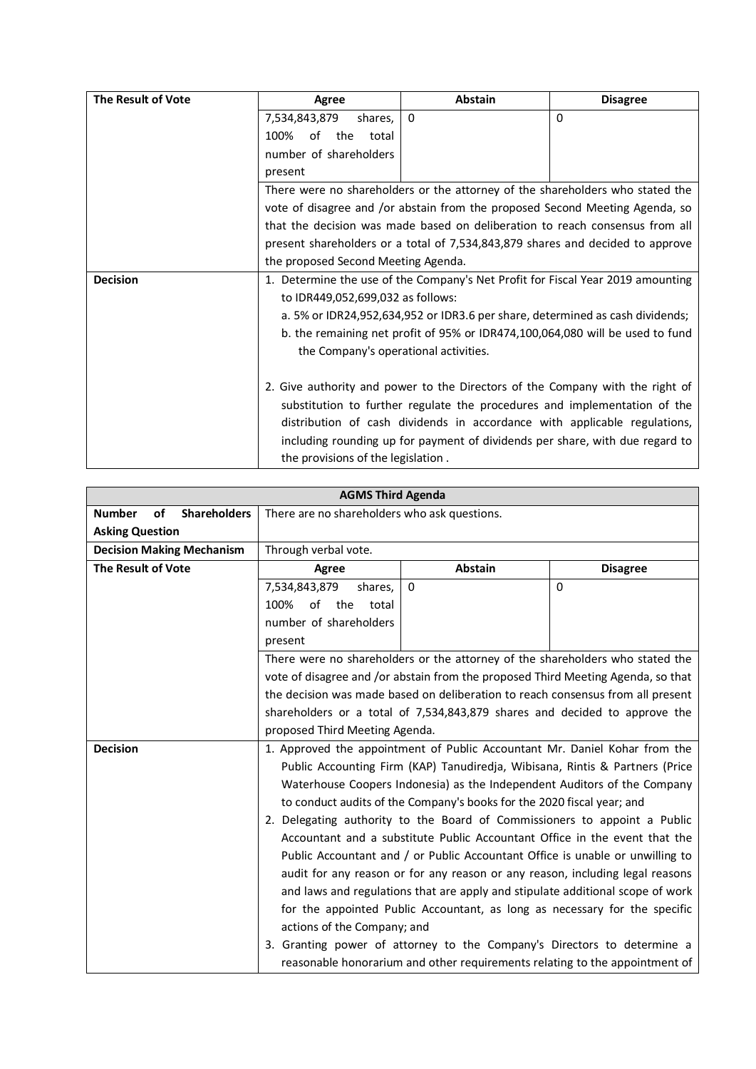| The Result of Vote                                                        | Agree                                                                          | <b>Abstain</b>                                                                  | <b>Disagree</b> |  |
|---------------------------------------------------------------------------|--------------------------------------------------------------------------------|---------------------------------------------------------------------------------|-----------------|--|
|                                                                           | 7,534,843,879<br>shares,                                                       | $\Omega$                                                                        | $\Omega$        |  |
|                                                                           | the<br>100%<br>of<br>total                                                     |                                                                                 |                 |  |
|                                                                           | number of shareholders                                                         |                                                                                 |                 |  |
|                                                                           | present                                                                        |                                                                                 |                 |  |
|                                                                           |                                                                                | There were no shareholders or the attorney of the shareholders who stated the   |                 |  |
|                                                                           |                                                                                | vote of disagree and /or abstain from the proposed Second Meeting Agenda, so    |                 |  |
|                                                                           |                                                                                | that the decision was made based on deliberation to reach consensus from all    |                 |  |
|                                                                           | present shareholders or a total of 7,534,843,879 shares and decided to approve |                                                                                 |                 |  |
|                                                                           | the proposed Second Meeting Agenda.                                            |                                                                                 |                 |  |
| <b>Decision</b>                                                           |                                                                                | 1. Determine the use of the Company's Net Profit for Fiscal Year 2019 amounting |                 |  |
|                                                                           | to IDR449,052,699,032 as follows:                                              |                                                                                 |                 |  |
|                                                                           |                                                                                | a. 5% or IDR24,952,634,952 or IDR3.6 per share, determined as cash dividends;   |                 |  |
|                                                                           |                                                                                | b. the remaining net profit of 95% or IDR474,100,064,080 will be used to fund   |                 |  |
|                                                                           | the Company's operational activities.                                          |                                                                                 |                 |  |
|                                                                           |                                                                                |                                                                                 |                 |  |
|                                                                           |                                                                                | 2. Give authority and power to the Directors of the Company with the right of   |                 |  |
| substitution to further regulate the procedures and implementation of the |                                                                                |                                                                                 |                 |  |
|                                                                           | distribution of cash dividends in accordance with applicable regulations,      |                                                                                 |                 |  |
|                                                                           |                                                                                | including rounding up for payment of dividends per share, with due regard to    |                 |  |
|                                                                           | the provisions of the legislation.                                             |                                                                                 |                 |  |

| <b>AGMS Third Agenda</b>                   |                                                                                  |             |                                                                               |
|--------------------------------------------|----------------------------------------------------------------------------------|-------------|-------------------------------------------------------------------------------|
| <b>Number</b><br>of<br><b>Shareholders</b> | There are no shareholders who ask questions.                                     |             |                                                                               |
| <b>Asking Question</b>                     |                                                                                  |             |                                                                               |
| <b>Decision Making Mechanism</b>           | Through verbal vote.                                                             |             |                                                                               |
| <b>The Result of Vote</b>                  | Agree                                                                            | Abstain     | <b>Disagree</b>                                                               |
|                                            | 7,534,843,879<br>shares,                                                         | $\mathbf 0$ | $\Omega$                                                                      |
|                                            | of the<br>100%<br>total                                                          |             |                                                                               |
|                                            | number of shareholders                                                           |             |                                                                               |
|                                            | present                                                                          |             |                                                                               |
|                                            |                                                                                  |             | There were no shareholders or the attorney of the shareholders who stated the |
|                                            | vote of disagree and /or abstain from the proposed Third Meeting Agenda, so that |             |                                                                               |
|                                            | the decision was made based on deliberation to reach consensus from all present  |             |                                                                               |
|                                            | shareholders or a total of 7,534,843,879 shares and decided to approve the       |             |                                                                               |
|                                            | proposed Third Meeting Agenda.                                                   |             |                                                                               |
| <b>Decision</b>                            | 1. Approved the appointment of Public Accountant Mr. Daniel Kohar from the       |             |                                                                               |
|                                            | Public Accounting Firm (KAP) Tanudiredja, Wibisana, Rintis & Partners (Price     |             |                                                                               |
|                                            | Waterhouse Coopers Indonesia) as the Independent Auditors of the Company         |             |                                                                               |
|                                            | to conduct audits of the Company's books for the 2020 fiscal year; and           |             |                                                                               |
|                                            | 2. Delegating authority to the Board of Commissioners to appoint a Public        |             |                                                                               |
|                                            |                                                                                  |             | Accountant and a substitute Public Accountant Office in the event that the    |
|                                            |                                                                                  |             | Public Accountant and / or Public Accountant Office is unable or unwilling to |
|                                            |                                                                                  |             | audit for any reason or for any reason or any reason, including legal reasons |
|                                            | and laws and regulations that are apply and stipulate additional scope of work   |             |                                                                               |
|                                            | for the appointed Public Accountant, as long as necessary for the specific       |             |                                                                               |
|                                            | actions of the Company; and                                                      |             |                                                                               |
|                                            |                                                                                  |             | 3. Granting power of attorney to the Company's Directors to determine a       |
|                                            |                                                                                  |             | reasonable honorarium and other requirements relating to the appointment of   |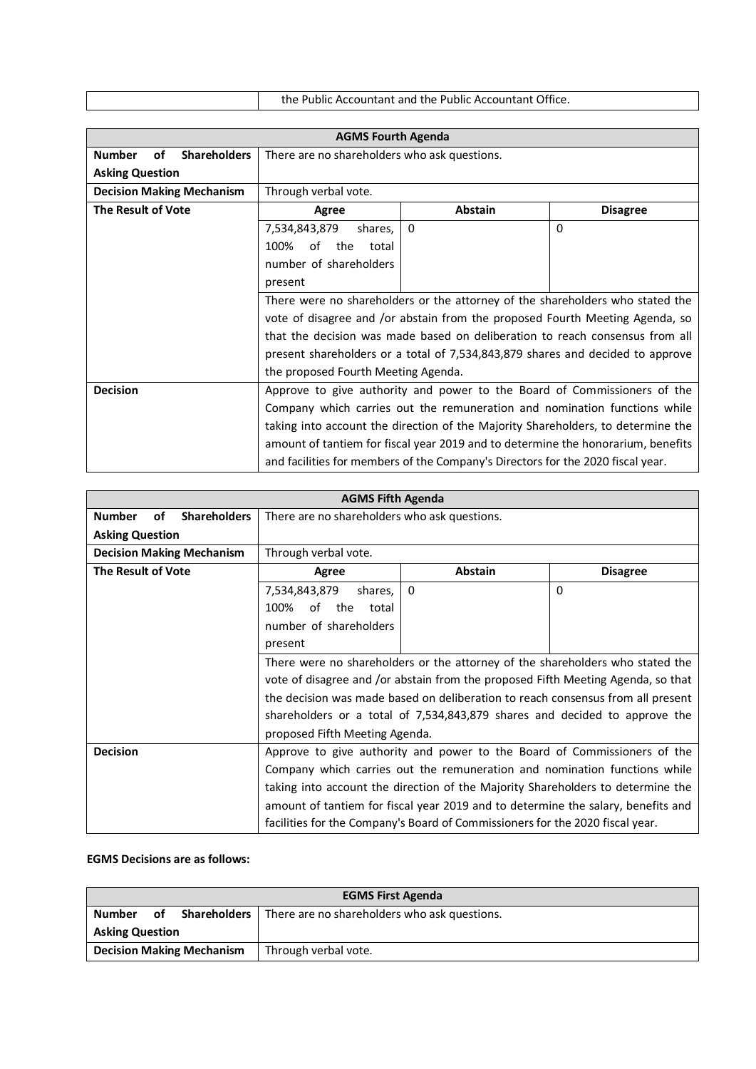| the Public Accountant and the Public Accountant Office. |
|---------------------------------------------------------|

| <b>AGMS Fourth Agenda</b>                  |                                                                                  |                                                                                  |                 |  |
|--------------------------------------------|----------------------------------------------------------------------------------|----------------------------------------------------------------------------------|-----------------|--|
| <b>Shareholders</b><br><b>Number</b><br>of | There are no shareholders who ask questions.                                     |                                                                                  |                 |  |
| <b>Asking Question</b>                     |                                                                                  |                                                                                  |                 |  |
| <b>Decision Making Mechanism</b>           | Through verbal vote.                                                             |                                                                                  |                 |  |
| <b>The Result of Vote</b>                  | Agree                                                                            | <b>Abstain</b>                                                                   | <b>Disagree</b> |  |
|                                            | 7,534,843,879<br>shares,                                                         | $\Omega$                                                                         | $\Omega$        |  |
|                                            | the<br>100%<br>of<br>total                                                       |                                                                                  |                 |  |
|                                            | number of shareholders                                                           |                                                                                  |                 |  |
|                                            | present                                                                          |                                                                                  |                 |  |
|                                            | There were no shareholders or the attorney of the shareholders who stated the    |                                                                                  |                 |  |
|                                            | vote of disagree and /or abstain from the proposed Fourth Meeting Agenda, so     |                                                                                  |                 |  |
|                                            | that the decision was made based on deliberation to reach consensus from all     |                                                                                  |                 |  |
|                                            | present shareholders or a total of 7,534,843,879 shares and decided to approve   |                                                                                  |                 |  |
|                                            | the proposed Fourth Meeting Agenda.                                              |                                                                                  |                 |  |
| <b>Decision</b>                            | Approve to give authority and power to the Board of Commissioners of the         |                                                                                  |                 |  |
|                                            | Company which carries out the remuneration and nomination functions while        |                                                                                  |                 |  |
|                                            | taking into account the direction of the Majority Shareholders, to determine the |                                                                                  |                 |  |
|                                            |                                                                                  | amount of tantiem for fiscal year 2019 and to determine the honorarium, benefits |                 |  |
|                                            |                                                                                  | and facilities for members of the Company's Directors for the 2020 fiscal year.  |                 |  |

| <b>AGMS Fifth Agenda</b>                   |                                                                                  |                                                                                  |                 |  |
|--------------------------------------------|----------------------------------------------------------------------------------|----------------------------------------------------------------------------------|-----------------|--|
| <b>Shareholders</b><br><b>Number</b><br>of | There are no shareholders who ask questions.                                     |                                                                                  |                 |  |
| <b>Asking Question</b>                     |                                                                                  |                                                                                  |                 |  |
| <b>Decision Making Mechanism</b>           | Through verbal vote.                                                             |                                                                                  |                 |  |
| <b>The Result of Vote</b>                  | Agree                                                                            | <b>Abstain</b>                                                                   | <b>Disagree</b> |  |
|                                            | 7,534,843,879<br>shares,                                                         | $\Omega$                                                                         | $\Omega$        |  |
|                                            | of the<br>100%<br>total                                                          |                                                                                  |                 |  |
|                                            | number of shareholders                                                           |                                                                                  |                 |  |
|                                            | present                                                                          |                                                                                  |                 |  |
|                                            | There were no shareholders or the attorney of the shareholders who stated the    |                                                                                  |                 |  |
|                                            | vote of disagree and /or abstain from the proposed Fifth Meeting Agenda, so that |                                                                                  |                 |  |
|                                            | the decision was made based on deliberation to reach consensus from all present  |                                                                                  |                 |  |
|                                            | shareholders or a total of 7,534,843,879 shares and decided to approve the       |                                                                                  |                 |  |
|                                            |                                                                                  | proposed Fifth Meeting Agenda.                                                   |                 |  |
| <b>Decision</b>                            | Approve to give authority and power to the Board of Commissioners of the         |                                                                                  |                 |  |
|                                            | Company which carries out the remuneration and nomination functions while        |                                                                                  |                 |  |
|                                            | taking into account the direction of the Majority Shareholders to determine the  |                                                                                  |                 |  |
|                                            |                                                                                  | amount of tantiem for fiscal year 2019 and to determine the salary, benefits and |                 |  |
|                                            |                                                                                  | facilities for the Company's Board of Commissioners for the 2020 fiscal year.    |                 |  |

### **EGMS Decisions are as follows:**

| <b>EGMS First Agenda</b>                                 |                        |                                              |  |  |
|----------------------------------------------------------|------------------------|----------------------------------------------|--|--|
| <b>Number</b><br>οf                                      | <b>Shareholders</b>    | There are no shareholders who ask questions. |  |  |
|                                                          | <b>Asking Question</b> |                                              |  |  |
| <b>Decision Making Mechanism</b><br>Through verbal vote. |                        |                                              |  |  |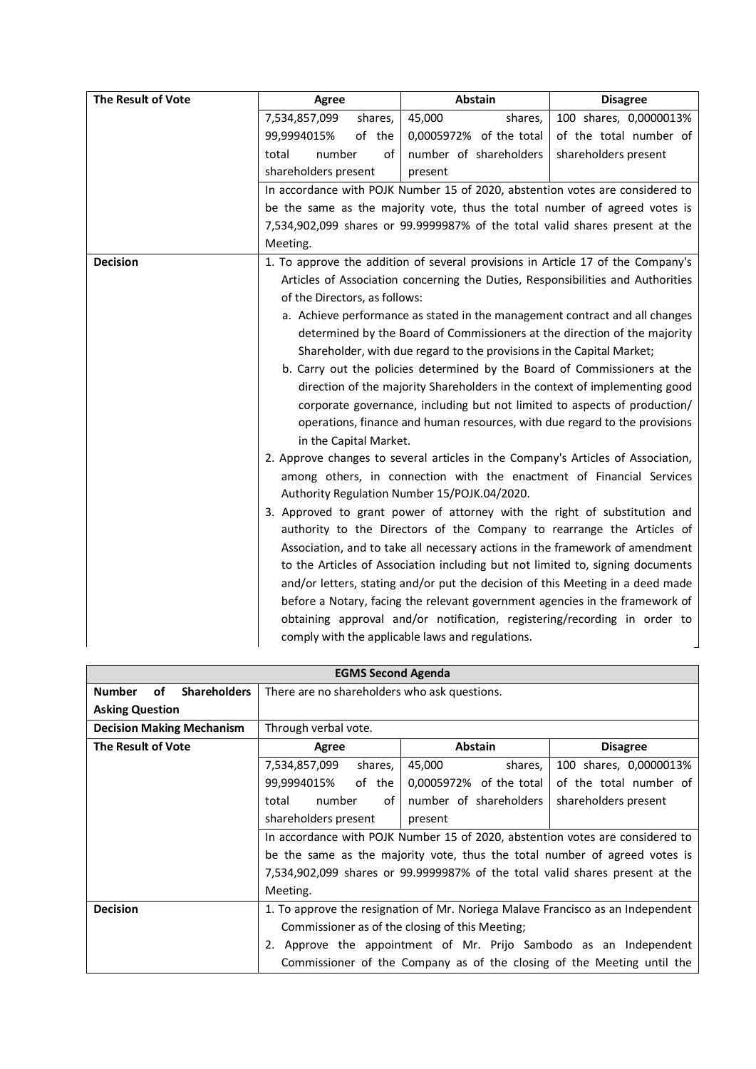| The Result of Vote | <b>Agree</b>                  | Abstain                                                                                                                                                                                                                                                                                                                                                                                                                                                                                                                                                                                                                                                                                                                                                                                                                                                                                                                                                                                                                                                                       | <b>Disagree</b>        |
|--------------------|-------------------------------|-------------------------------------------------------------------------------------------------------------------------------------------------------------------------------------------------------------------------------------------------------------------------------------------------------------------------------------------------------------------------------------------------------------------------------------------------------------------------------------------------------------------------------------------------------------------------------------------------------------------------------------------------------------------------------------------------------------------------------------------------------------------------------------------------------------------------------------------------------------------------------------------------------------------------------------------------------------------------------------------------------------------------------------------------------------------------------|------------------------|
|                    | 7,534,857,099<br>shares,      | 45,000<br>shares,                                                                                                                                                                                                                                                                                                                                                                                                                                                                                                                                                                                                                                                                                                                                                                                                                                                                                                                                                                                                                                                             | 100 shares, 0,0000013% |
|                    | 99,9994015%<br>of the         | 0,0005972% of the total                                                                                                                                                                                                                                                                                                                                                                                                                                                                                                                                                                                                                                                                                                                                                                                                                                                                                                                                                                                                                                                       | of the total number of |
|                    | number<br>total<br>of         | number of shareholders                                                                                                                                                                                                                                                                                                                                                                                                                                                                                                                                                                                                                                                                                                                                                                                                                                                                                                                                                                                                                                                        | shareholders present   |
|                    | shareholders present          | present                                                                                                                                                                                                                                                                                                                                                                                                                                                                                                                                                                                                                                                                                                                                                                                                                                                                                                                                                                                                                                                                       |                        |
|                    |                               | In accordance with POJK Number 15 of 2020, abstention votes are considered to                                                                                                                                                                                                                                                                                                                                                                                                                                                                                                                                                                                                                                                                                                                                                                                                                                                                                                                                                                                                 |                        |
|                    |                               | be the same as the majority vote, thus the total number of agreed votes is                                                                                                                                                                                                                                                                                                                                                                                                                                                                                                                                                                                                                                                                                                                                                                                                                                                                                                                                                                                                    |                        |
|                    |                               | 7,534,902,099 shares or 99.9999987% of the total valid shares present at the                                                                                                                                                                                                                                                                                                                                                                                                                                                                                                                                                                                                                                                                                                                                                                                                                                                                                                                                                                                                  |                        |
|                    | Meeting.                      |                                                                                                                                                                                                                                                                                                                                                                                                                                                                                                                                                                                                                                                                                                                                                                                                                                                                                                                                                                                                                                                                               |                        |
| <b>Decision</b>    |                               | 1. To approve the addition of several provisions in Article 17 of the Company's                                                                                                                                                                                                                                                                                                                                                                                                                                                                                                                                                                                                                                                                                                                                                                                                                                                                                                                                                                                               |                        |
|                    |                               | Articles of Association concerning the Duties, Responsibilities and Authorities                                                                                                                                                                                                                                                                                                                                                                                                                                                                                                                                                                                                                                                                                                                                                                                                                                                                                                                                                                                               |                        |
|                    | of the Directors, as follows: |                                                                                                                                                                                                                                                                                                                                                                                                                                                                                                                                                                                                                                                                                                                                                                                                                                                                                                                                                                                                                                                                               |                        |
|                    |                               | a. Achieve performance as stated in the management contract and all changes                                                                                                                                                                                                                                                                                                                                                                                                                                                                                                                                                                                                                                                                                                                                                                                                                                                                                                                                                                                                   |                        |
|                    |                               | determined by the Board of Commissioners at the direction of the majority                                                                                                                                                                                                                                                                                                                                                                                                                                                                                                                                                                                                                                                                                                                                                                                                                                                                                                                                                                                                     |                        |
|                    |                               | Shareholder, with due regard to the provisions in the Capital Market;                                                                                                                                                                                                                                                                                                                                                                                                                                                                                                                                                                                                                                                                                                                                                                                                                                                                                                                                                                                                         |                        |
|                    |                               | b. Carry out the policies determined by the Board of Commissioners at the                                                                                                                                                                                                                                                                                                                                                                                                                                                                                                                                                                                                                                                                                                                                                                                                                                                                                                                                                                                                     |                        |
|                    |                               |                                                                                                                                                                                                                                                                                                                                                                                                                                                                                                                                                                                                                                                                                                                                                                                                                                                                                                                                                                                                                                                                               |                        |
|                    |                               |                                                                                                                                                                                                                                                                                                                                                                                                                                                                                                                                                                                                                                                                                                                                                                                                                                                                                                                                                                                                                                                                               |                        |
|                    |                               |                                                                                                                                                                                                                                                                                                                                                                                                                                                                                                                                                                                                                                                                                                                                                                                                                                                                                                                                                                                                                                                                               |                        |
|                    |                               |                                                                                                                                                                                                                                                                                                                                                                                                                                                                                                                                                                                                                                                                                                                                                                                                                                                                                                                                                                                                                                                                               |                        |
|                    |                               |                                                                                                                                                                                                                                                                                                                                                                                                                                                                                                                                                                                                                                                                                                                                                                                                                                                                                                                                                                                                                                                                               |                        |
|                    |                               |                                                                                                                                                                                                                                                                                                                                                                                                                                                                                                                                                                                                                                                                                                                                                                                                                                                                                                                                                                                                                                                                               |                        |
|                    |                               |                                                                                                                                                                                                                                                                                                                                                                                                                                                                                                                                                                                                                                                                                                                                                                                                                                                                                                                                                                                                                                                                               |                        |
|                    |                               |                                                                                                                                                                                                                                                                                                                                                                                                                                                                                                                                                                                                                                                                                                                                                                                                                                                                                                                                                                                                                                                                               |                        |
|                    |                               |                                                                                                                                                                                                                                                                                                                                                                                                                                                                                                                                                                                                                                                                                                                                                                                                                                                                                                                                                                                                                                                                               |                        |
|                    |                               |                                                                                                                                                                                                                                                                                                                                                                                                                                                                                                                                                                                                                                                                                                                                                                                                                                                                                                                                                                                                                                                                               |                        |
|                    |                               |                                                                                                                                                                                                                                                                                                                                                                                                                                                                                                                                                                                                                                                                                                                                                                                                                                                                                                                                                                                                                                                                               |                        |
|                    |                               |                                                                                                                                                                                                                                                                                                                                                                                                                                                                                                                                                                                                                                                                                                                                                                                                                                                                                                                                                                                                                                                                               |                        |
|                    |                               |                                                                                                                                                                                                                                                                                                                                                                                                                                                                                                                                                                                                                                                                                                                                                                                                                                                                                                                                                                                                                                                                               |                        |
|                    |                               |                                                                                                                                                                                                                                                                                                                                                                                                                                                                                                                                                                                                                                                                                                                                                                                                                                                                                                                                                                                                                                                                               |                        |
|                    | in the Capital Market.        | direction of the majority Shareholders in the context of implementing good<br>corporate governance, including but not limited to aspects of production/<br>operations, finance and human resources, with due regard to the provisions<br>2. Approve changes to several articles in the Company's Articles of Association,<br>among others, in connection with the enactment of Financial Services<br>Authority Regulation Number 15/POJK.04/2020.<br>3. Approved to grant power of attorney with the right of substitution and<br>authority to the Directors of the Company to rearrange the Articles of<br>Association, and to take all necessary actions in the framework of amendment<br>to the Articles of Association including but not limited to, signing documents<br>and/or letters, stating and/or put the decision of this Meeting in a deed made<br>before a Notary, facing the relevant government agencies in the framework of<br>obtaining approval and/or notification, registering/recording in order to<br>comply with the applicable laws and regulations. |                        |

| <b>EGMS Second Agenda</b>                  |                                                                                 |                                                                              |                        |  |
|--------------------------------------------|---------------------------------------------------------------------------------|------------------------------------------------------------------------------|------------------------|--|
| <b>Number</b><br>of<br><b>Shareholders</b> | There are no shareholders who ask questions.                                    |                                                                              |                        |  |
| <b>Asking Question</b>                     |                                                                                 |                                                                              |                        |  |
| <b>Decision Making Mechanism</b>           | Through verbal vote.                                                            |                                                                              |                        |  |
| The Result of Vote                         | Agree                                                                           | <b>Abstain</b>                                                               | <b>Disagree</b>        |  |
|                                            | 7,534,857,099<br>shares,                                                        | 45,000<br>shares,                                                            | 100 shares, 0,0000013% |  |
|                                            | 99,9994015%<br>of the                                                           | 0,0005972% of the total                                                      | of the total number of |  |
|                                            | number of shareholders<br>shareholders present<br>number<br>of<br>total         |                                                                              |                        |  |
|                                            | shareholders present<br>present                                                 |                                                                              |                        |  |
|                                            | In accordance with POJK Number 15 of 2020, abstention votes are considered to   |                                                                              |                        |  |
|                                            | be the same as the majority vote, thus the total number of agreed votes is      |                                                                              |                        |  |
|                                            |                                                                                 | 7,534,902,099 shares or 99.9999987% of the total valid shares present at the |                        |  |
|                                            | Meeting.                                                                        |                                                                              |                        |  |
| <b>Decision</b>                            | 1. To approve the resignation of Mr. Noriega Malave Francisco as an Independent |                                                                              |                        |  |
|                                            | Commissioner as of the closing of this Meeting;                                 |                                                                              |                        |  |
|                                            |                                                                                 | 2. Approve the appointment of Mr. Prijo Sambodo as an Independent            |                        |  |
|                                            |                                                                                 | Commissioner of the Company as of the closing of the Meeting until the       |                        |  |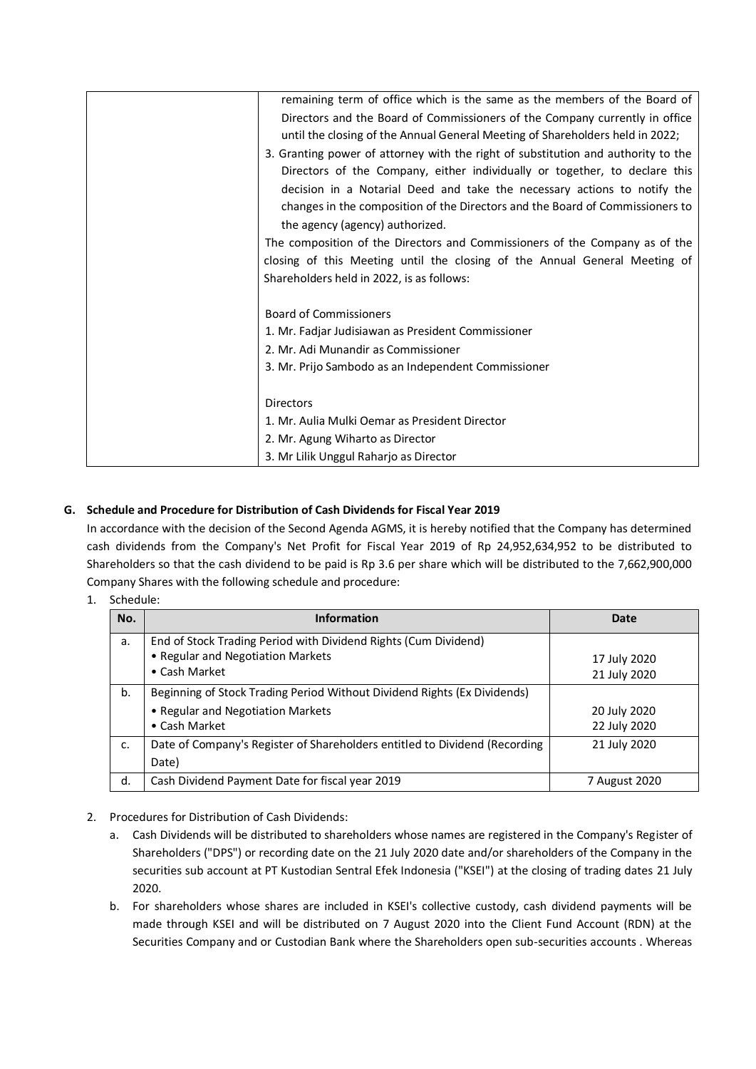| remaining term of office which is the same as the members of the Board of         |
|-----------------------------------------------------------------------------------|
| Directors and the Board of Commissioners of the Company currently in office       |
| until the closing of the Annual General Meeting of Shareholders held in 2022;     |
| 3. Granting power of attorney with the right of substitution and authority to the |
| Directors of the Company, either individually or together, to declare this        |
| decision in a Notarial Deed and take the necessary actions to notify the          |
| changes in the composition of the Directors and the Board of Commissioners to     |
| the agency (agency) authorized.                                                   |
| The composition of the Directors and Commissioners of the Company as of the       |
| closing of this Meeting until the closing of the Annual General Meeting of        |
| Shareholders held in 2022, is as follows:                                         |
|                                                                                   |
| <b>Board of Commissioners</b>                                                     |
| 1. Mr. Fadjar Judisiawan as President Commissioner                                |
| 2. Mr. Adi Munandir as Commissioner                                               |
| 3. Mr. Prijo Sambodo as an Independent Commissioner                               |
|                                                                                   |
| <b>Directors</b>                                                                  |
| 1. Mr. Aulia Mulki Oemar as President Director                                    |
| 2. Mr. Agung Wiharto as Director                                                  |
| 3. Mr Lilik Unggul Raharjo as Director                                            |

# **G. Schedule and Procedure for Distribution of Cash Dividends for Fiscal Year 2019**

In accordance with the decision of the Second Agenda AGMS, it is hereby notified that the Company has determined cash dividends from the Company's Net Profit for Fiscal Year 2019 of Rp 24,952,634,952 to be distributed to Shareholders so that the cash dividend to be paid is Rp 3.6 per share which will be distributed to the 7,662,900,000 Company Shares with the following schedule and procedure:

1. Schedule:

| No.         | <b>Information</b>                                                                                                             | <b>Date</b>                  |
|-------------|--------------------------------------------------------------------------------------------------------------------------------|------------------------------|
| a.          | End of Stock Trading Period with Dividend Rights (Cum Dividend)<br>• Regular and Negotiation Markets<br>• Cash Market          | 17 July 2020<br>21 July 2020 |
| b.          | Beginning of Stock Trading Period Without Dividend Rights (Ex Dividends)<br>• Regular and Negotiation Markets<br>• Cash Market | 20 July 2020<br>22 July 2020 |
| $C_{\cdot}$ | Date of Company's Register of Shareholders entitled to Dividend (Recording<br>Date)                                            | 21 July 2020                 |
| d.          | Cash Dividend Payment Date for fiscal year 2019                                                                                | 7 August 2020                |

- 2. Procedures for Distribution of Cash Dividends:
	- a. Cash Dividends will be distributed to shareholders whose names are registered in the Company's Register of Shareholders ("DPS") or recording date on the 21 July 2020 date and/or shareholders of the Company in the securities sub account at PT Kustodian Sentral Efek Indonesia ("KSEI") at the closing of trading dates 21 July 2020.
	- b. For shareholders whose shares are included in KSEI's collective custody, cash dividend payments will be made through KSEI and will be distributed on 7 August 2020 into the Client Fund Account (RDN) at the Securities Company and or Custodian Bank where the Shareholders open sub-securities accounts . Whereas